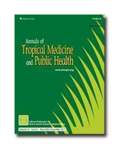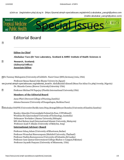$\Box$ [Join us \(registration.php\)](https://www.journal.atmph-specialissues.org/registration.php)  $\Box$ [Log in \(https://journal.atmph-specialissues.org/admin/\)](https://journal.atmph-specialissues.org/admin/)  $\Box$  abubakar yarogh@yahoo.com (mailto:abubakar\_yarogh@yahoo.com)



# Editorial Board

 $\overline{R}$ 

## **Editor-In-Chief**

**Abubakar Yaro (Dr Yaro Laboratory, Scotland & AHRO Institute of Health Sciences &**

卪 **Research, Scotland) (Editorial Office) Associate Editor**

[Dr.Tanmay Mahapatra \(University of CalifoDr. Nasir Umar \(BNI,Germany\)](https://plus.google.com/share?url=http://www.journal.atmph-specialissues.org/editorial_board.php) rnia, USA)

[Professor Sanaa Kamal \(Ain Shams Univers](https://plus.google.com/share?url=http://www.journal.atmph-specialissues.org/editorial_board.php) ity,Egypt)

- [ww.journal.atmph-specialissues.org/editorial\\_boar](https://plus.google.com/share?url=http://www.journal.atmph-specialissues.org/editorial_board.php)[Dr. Abdulhamid Ahmed \(Musa Yar Adua Un](https://plus.google.com/share?url=http://www.journal.atmph-specialissues.org/editorial_board.php)[.php\)](https://plus.google.com/share?url=http://www.journal.atmph-specialissues.org/editorial_board.php) iversity, Nigeria) Dr. Ricardo Correa (Brown UniversityUniveristy USA)
- $\overline{R}$ Professor Michael W Popejoy (Florida International University,USA)

## **Members of the Editorial Board**

Anne Phiri (Dovecot College of Nursing,Zambia) Adama Gansane (University of Ouagadugou, Burkina Faso)

Abubakar DAFFE (Universite Cheikh Anta Diop,Senegal)Elwyn Chomba (University of Zambia Zambia)

Stanley Almeida (Universidade Federal do Para-UFPABrazil) Wenbiao Hu (Queensland University of Technology,Australia) Delenasaw Yewhalaw (Jimma University,Ethiopia) MD Abul Kalam Azad (International Islamic University, Malaysia) Professor Ayad F Alkaim (University of Babylon, Iraq)

## **International Advisory Board**

Professor Ishaq Adam (University of Khartoum,Sudan) Professor Worachat Sirawaraporn (Mahidol University,Thailand) Professor Nadira Karunaweera (University of Colombo,Sri Lanka) Professor Azra Qamar (Government College Shahra-e-Liaquat,Pakistan) Professor Jayanth Panyam (University of Minessota, USA)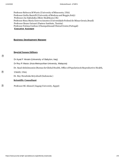Professor Rebecca M Wurtz (University of Minessota, USA) Professor Guilio Rastelli (University of Modena and Reggio,Italy) Professor Joe Kabukoba (Shire Healthcare,UK) Professor Rosa Maria Esteves Arantes (Universidade Federal de Minas Gerais,Brazil) Professor Ikram Guizani (Pasteur Institute, Tunisia) Professor Fatima Cordoso (Champalimaud Clinical Center,Portugal) **Executive Assistant**

#### **Business Development Manager**

## **Special Issues Editors**

- Dr Ayad F Akraim (University of Babylon, Iraq)
- Dr Roy R Marzo (Asia Metropolitan University, Malaysia)
- Dr. Saad Abdulmumin (Bureau for Global Health, Office of Population & Reproductive Health,
- USAID, USA)

 $\overline{R}$ 

 $\overline{P}$ 

Dr. Roy Hendroko Setyobudi (Indonesia )

## **Scientific Consultant**

 $\overline{P}$ [Professor SG Ahmed \( Zagaig University, Egypt\)](https://www.journal.atmph-specialissues.org/abstract.php?article_id=8022)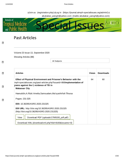a[Join us \(registration.php\)](https://www.journal.atmph-specialissues.org/registration.php) a[Log in \(https://journal.atmph-specialissues.org/admin/\)](https://journal.atmph-specialissues.org/admin/) a abubakar\_yarogh@yahoo.com (mailto:abubakar\_yarogh@yahoo.com)



# Past Articles

Volume 23 Issue 13, September 2020

Showing Articles (88)

**Makassar City**

Pages: 231-325

All Subjects

**[Articles](https://plus.google.com/share?url=http://www.journal.atmph-specialissues.org/past-articles.php?issueid=866) Views Downloads**

 $\overline{P}$ 

**DOI:** 10.36295/ASRO.2020.231325

**[DOI URL:](http://doi.org/10.36295/ASRO.2020.231325)** <http://doi.org/10.36295/ASRO.2020.231325>

[\(http://doi.org/10.36295/ASRO.2020.231325\)](http://doi.org/10.36295/ASRO.2020.231325)

View  $\left| \right|$  [Download PDF \(uploads/179/8193\\_pdf.pdf\)](https://www.journal.atmph-specialissues.org/uploads/179/8193_pdf.pdf) [Download XML \(downloadxml.php?did=8193&issueno=0\)](https://www.journal.atmph-specialissues.org/downloadxml.php?did=8193&issueno=0)

Haeruddin,A.Rizki Amelia,Samsualam,Ma'syariArfah Tihurua

**[Effect of Physical Environment and Prisoner's Beh](https://plus.google.com/share?url=http://www.journal.atmph-specialissues.org/past-articles.php?issueid=866)avior with the** mph-specialissues.org/past-articles.php?issueid=866Implementation of 64 60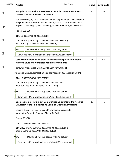| 12/4/2020 | <b>Articles</b> |                                                                                                 | <b>Past Articles</b>                                                                                                                                                                                                      | <b>Views</b> | <b>Downloads</b> |
|-----------|-----------------|-------------------------------------------------------------------------------------------------|---------------------------------------------------------------------------------------------------------------------------------------------------------------------------------------------------------------------------|--------------|------------------|
| ิว        |                 | Disaster Central Sulawesi, Indonesia                                                            | Analysis of Hospital Preparedness Provincial Government Post-                                                                                                                                                             | 10           | 58               |
| ?         | Pages: 231-326  |                                                                                                 | Rosa DwiWahyun, Diah Mutiarasari, Indah PuspasariKiay Demak, Mariani<br>Rasjid, Miranti, Abdul Munawwir Muzakkar, Nataza Nurul Amanda, Diana<br>Anjelina Masarrang, Syahrir Pasinringi, Ridwan Amiruddin, Sukri Palutturi |              |                  |
|           |                 | <b>DOI:</b> 10.36295/ASRO.2020.231326                                                           |                                                                                                                                                                                                                           |              |                  |
| ႗ႄ        |                 | http://doi.org/10.36295/ASRO.2020.231326)                                                       | DOI URL: http://doi.org/10.36295/ASRO.2020.231326 (                                                                                                                                                                       |              |                  |
|           | View            |                                                                                                 | Download PDF (uploads/179/8194_pdf.pdf)                                                                                                                                                                                   |              |                  |
| ิว        |                 |                                                                                                 | Download XML (downloadxml.php?did=8194&issueno=0)                                                                                                                                                                         |              |                  |
|           |                 | Kidney Failure and Ventilator Acquired Pneumonia                                                | Case Report: Post Aff Dj Stent Recurrent Urosepsis with Chronic                                                                                                                                                           | 9            | 58               |
| ?         |                 | Ismawati Irwan, Faisal Muchtar, Imtihanah Amri, Salsiah                                         |                                                                                                                                                                                                                           |              |                  |
|           |                 |                                                                                                 | mph-specialissues.org/past-articles.php?issueid=866Pages: 231-327)                                                                                                                                                        |              |                  |
|           |                 | DOI: 10.36295/ASRO.2020.231327                                                                  |                                                                                                                                                                                                                           |              |                  |
|           |                 | DOI URL: http://doi.org/10.36295/ASRO.2020.231327<br>(http://doi.org/10.36295/ASRO.2020.231327) |                                                                                                                                                                                                                           |              |                  |
|           | View            |                                                                                                 | Download PDF (uploads/179/8195 pdf.pdf)                                                                                                                                                                                   |              |                  |
|           |                 |                                                                                                 | Download XML (downloadxml.php?did=8195&issueno=0)                                                                                                                                                                         |              |                  |
|           |                 |                                                                                                 | Socioeconomic Profiling of Communities Surrounding Polytechnic<br>University of the Philippines as Basis of Extension Programs                                                                                            | 13           | 71               |
|           |                 | Magpantay, Eduardo Sanguyo, Alberto C. Guillo                                                   | Casiana Salud-Payumo, Melcah P. Monsura, Maria Vicenta                                                                                                                                                                    |              |                  |
|           | Pages: 231-328  |                                                                                                 |                                                                                                                                                                                                                           |              |                  |
|           |                 | DOI: 10.36295/ASRO.2020.231328                                                                  |                                                                                                                                                                                                                           |              |                  |
|           |                 | http://doi.org/10.36295/ASRO.2020.231328)                                                       | DOI URL: http://doi.org/10.36295/ASRO.2020.231328 (                                                                                                                                                                       |              |                  |
|           | View            |                                                                                                 | Download PDF (uploads/179/8196_pdf.pdf)                                                                                                                                                                                   |              |                  |
|           |                 |                                                                                                 | Download XML (downloadxml.php?did=8196&issueno=0)                                                                                                                                                                         |              |                  |

 $\overline{?}$ 

 $\boxed{?}$ 

 $\overline{?}$ 

 $\overline{?}$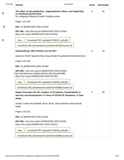| 12/4/2020      | <b>Articles</b>                                                                                                                                         | <b>Past Articles</b> | <b>Views</b> | <b>Downloads</b> |
|----------------|---------------------------------------------------------------------------------------------------------------------------------------------------------|----------------------|--------------|------------------|
| <u>วุ</u>      | The effect of job satisfaction, organizational culture, and leadership<br>on employee performance<br>Sri Langgeng Ratnasari, Gandhi Sutjahjo, Adam      |                      | 8            | 60               |
|                | Pages: 231-329                                                                                                                                          |                      |              |                  |
| $\overline{?}$ | DOI: 10.36295/ASRO.2020.231329                                                                                                                          |                      |              |                  |
|                | DOI URL: http://doi.org/10.36295/ASRO.2020.231329<br>(http://doi.org/10.36295/ASRO.2020.231329)                                                         |                      |              |                  |
| <u>त्र</u>     | View<br>Download PDF (uploads/179/8197_pdf.pdf)                                                                                                         |                      |              |                  |
|                | Download XML (downloadxml.php?did=8197&issueno=0)                                                                                                       |                      |              |                  |
|                | Cyberbullying: Why Children do not tell?                                                                                                                |                      | 17           | 59               |
|                | Jaslina bt Mohd Tajuddin, Wan, Puspa Melati, Priyadarshini Muthukrishnanc                                                                               |                      |              |                  |
|                | Pages: 231-330                                                                                                                                          |                      |              |                  |
|                | DOI: 10.36295/ASRO.2020.231330                                                                                                                          |                      |              |                  |
|                | DOI URL: http://doi.org/10.36295/ASRO.2020.231330<br>mph-specialissues.org/past-articles.php?issueid=866)<br>(http://doi.org/10.36295/ASRO.2020.231330) |                      |              |                  |
|                | View<br>Download PDF (uploads/179/8198_pdf.pdf)                                                                                                         |                      |              |                  |
|                | Download XML (downloadxml.php?did=8198&issueno=0)                                                                                                       |                      |              |                  |
|                | Higher Education for the Creation of Prosperity, Sustainability in<br>Security and Development in Times of COVID-19 Pandemic: A Case<br><b>Study</b>    |                      | 3            | 58               |
|                | Amelia Yuliana Abd Wahab, Munir Shuib, Abdul Rahman Abdul Razak<br>Shaik                                                                                |                      |              |                  |
|                | Pages: 231-331                                                                                                                                          |                      |              |                  |
|                | DOI: 10.36295/ASRO.2020.231331                                                                                                                          |                      |              |                  |
|                | DOI URL: http://doi.org/10.36295/ASRO.2020.231331<br>(http://doi.org/10.36295/ASRO.2020.231331)                                                         |                      |              |                  |
|                | Download PDF (uploads/179/8199_pdf.pdf)<br>View                                                                                                         |                      |              |                  |
|                | Download XML (downloadxml.php?did=8199&issueno=0)                                                                                                       |                      |              |                  |

 $\overline{?}$ 

 $\boxed{?}$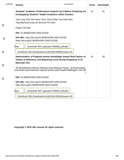| 12/4/2020      | <b>Past Articles</b><br><b>Articles</b>                                                                                                                       | <b>Views</b> | <b>Downloads</b> |
|----------------|---------------------------------------------------------------------------------------------------------------------------------------------------------------|--------------|------------------|
|                | Students' Academic Performance Analysis by K-Means Clustering for<br><b>Investigating Students' Health Conditions within Clusters</b>                         | 13           | 61               |
|                | Yann Ling Goh, Yeh Huann Goh, Chun-Chieh Yip, Chen Hunt<br>Ting, Raymond Ling Leh Bin, Kah Pin Chen                                                           |              |                  |
| $\boxed{?}$    | Pages: 231-332                                                                                                                                                |              |                  |
|                | DOI: 10.36295/ASRO.2020.231332                                                                                                                                |              |                  |
| ⊡              | DOI URL: http://doi.org/10.36295/ASRO.2020.231332<br>(http://doi.org/10.36295/ASRO.2020.231332)                                                               |              |                  |
|                | Download PDF (uploads/179/8200_pdf.pdf)<br>View                                                                                                               |              |                  |
| ?              | Download XML (downloadxml.php?did=8200&issueno=0)                                                                                                             |              |                  |
|                | Determination of Pregnant women Knowledge toward Risk Factors of<br>Vitamin D Deficiency and Measuring Level During Pregnancy in Al-<br><b>Nasiriyah City</b> | 10           | 58               |
| $\overline{?}$ | Ali Abdulhakeem Hassan Albakaa, Amer Muhssen Naser, Ali Riyad Saleim<br>urnal.atmph-specialissues.org/past-articles.php?issueid=866Pages: 231-333             |              |                  |
| ?              | DOI: 10.36295/ASRO.2020.231333                                                                                                                                |              |                  |
|                | DOI URL: http://doi.org/10.36295/ASRO.2020.231333<br>(http://doi.org/10.36295/ASRO.2020.231333)                                                               |              |                  |
|                | Download PDF (uploads/179/8201_pdf.pdf)<br>View                                                                                                               |              |                  |
|                | Download XML (downloadxml.php?did=8201&issueno=0)                                                                                                             |              |                  |

## **Copyright © 2019 UBI Journal All rights reserved**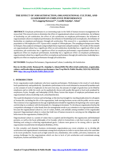## **THE EFFECT OF JOB SATISFACTION, ORGANIZATIONAL CULTURE, AND LEADERSHIP ON EMPLOYEE PERFORMANCE Sri Langgeng Ratnasari<sup>1</sup>\*, Gandhi Sutjahjo<sup>2</sup> , Adam<sup>3</sup>**

1,3 Universitas Riau Kepulauan <sup>2</sup> Universitas Batam

**ABSTRACT:** Employee performance is an interesting topic in the field of human resource management to be researched. This research aims to determine the effect of organizational culture on job satisfaction, the influence of leadership on job satisfaction, the effect of job satisfaction on employee performance, the influence of organizational culture on employee performance, the influence of leadership style on employees, the influence of leadership on employee performance through job satisfaction. This research is a quantitative research. The population is 108 employees of PT. Epson with a sample of 108 employees. The sampling technique uses census techniques. Data analysis techniques using multiple linear regression and path analysis. The results of this research are organizational culture has a significant effect on job satisfaction, leadership has a significant effect on job satisfaction, job satisfaction has a significant effect on employee performance, organizational culture has a significant effect on employee performance, leadership has a significant effect on employee performance, organizational culture has a significant effect on employee performance through job satisfaction, leadership has a significant effect on employee performance through job satisfaction.

**KEYWORDS**: Employee Performance, Organizational Culture, Leadership, Job Satisfaction

**How to cite this article: Ratnasari SL, Sutjahjo G, Adam (2020):The effect of job satisfaction , organization, culture, and leadership on employee performance, Ann Trop Med & Public Health; 23(S13A): SP231329. DOI: http://doi.org/10.36295/ASRO.2020.231329**

## **I. INTRODUCTION**

Every organization needs employees who have superior performance. Performance is the result of work shown both quantitatively and qualitatively. Quantitative performance is the result obtained as measured bynumbers such as the amount of work of employees in the unit every day, the amount of weight of goods that can be lifted by employees and so while the work can be qualitatively shown with quality like good or bad work produced by employees, Fajrin, Saragih, and Indratjahjo (2018). Many factors that impact of employee performance are an organizational culture, leadership style, and jobsatisfaction.

The rapid development of science and technology at this time has brought far-reaching implications for all aspects of human life, including the life of the organization, both moving business sector and the public service sector. The existence of an organization in the age of globalization should be regarded as living beings who want to grow and develop in accordance with the demands of a changing environment. To develop an organization that has the competitive advantage of value-based, then the management needs to pay attention to its organizational culture, because the organizational culture is a set of values, beliefs, and attitudes among members of the organization imposed. Organizational culture is values that hold true of human resources in carrying out the obligations and behaviour in the organization, Hakim (2015).

Organizational culture is a system of values that is acquired and developed by the organization and behavioural patterns, as well as the basic philosophy of its founder, which is formed into a rule that is used as a guide in thinking and acting in achieving organizational goals. Cultures were grown to be strong, able to spur the organization towards better development (Robbins, 2016).

In this complex and dynamic business environment, organizations pay more attention on to develop job satisfaction and organizational commitment among their employees in order to retain them and at the same time to be more productive. Issues such as high turnover rate, absenteeism, role conflict, job stress, burnout etc. are posing challenges for the organizations which are due to lack of job satisfaction and commitment among employees, Azeem and Akbar (2014).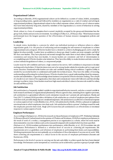## **Organizational Culture**

According to (Harwiki, 2016) organizational culture can be defined as a system of values, beliefs, assumptions, or long-standing norms, agreed and followed by members an organization as a code of conduct and solving its organizational problems. Organizational culture is also called corporate culture, which is a set of values or norms that have been relatively long term, shared by members of the organization as a norm of behaviour in solving organizational problems.

Work culture is a form of assumption that is owned, implicitly accepted by the group and determines how the group feels, thinks and acts on its environment. According to (Telha et al., 2016) says that, "Most human resource professionals have the longest question of the effectiveness of human resource management policies and practices."

## **Leadership**

In simple terms, leadership is a process by which one individual motivate or influence others to achieve organization goals. It is the process of enhancing and encouraging the self-esteem of employees to achieve organizational task and goals. Effective leaders have a desired to achieve challenging goals and to attain the highest levelsuccessfully. Leaders have an ambition to always go ahead. Leaders are more energetic and full of life than non-leaders. They have physical and mental strength that make them to lead others.Leaders have high consistency and tenacity than non-leaders. It means leaders are consistent and full of determination in accomplishing task. Effective leaders take initiatives. They have the ability to make decision and take corrective actions without the guidance of others, i.e. empowered people.

Leader must be self-confident and have a high control on his nerves. Self-confidence is important in decision making and to lead others. If their decisions turn out to be wrong, leader admits his mistake and try to get out of worse situation. Emotional stable leaders are calm and confident during critical conditions. Cognitive ability is needed by successful leaders to understand and handle the technical issues. They have the ability of knowing, understanding and learning the technical issues. Effective leaders have a good understanding about his company, market and stakeholders. A good knowledge about business is required in effective decision making. The core job of a leader is to set vision of his organization, then share and communicate vision with followers and then develop strategy to achieve vision. Great leaders must have high moral and ethical values to become role model for others, Javaid and Mirza (2012).

#### **Job Satisfaction**

Job satisfaction is a frequently studied variable in organizational behavior research, and also a central variable in both research and theory of organizational phenomena. What is agreed is that, stemming from cognitive processes, job satisfaction is a generalized affective work orientation towards one's present job and employer, Martin and Gert (2017). Luthans (2016) provides a definition of job satisfaction as a result of employee perceptions of how well their work provides things that are considered important. Job satisfaction is an affective or emotional response to various aspects of one's work (Bentley et al., 2013). Job satisfaction by (Stello, 2014) is a pleasant or unpleasant emotional state in which employees view their work. Job satisfaction reflects a person's feelings toward his work the employees perceive their work. Singh (2013) states that job satisfaction is an effectiveness or emotional response to various aspects of work.

#### **Employee Performance**

As according to (Siahaan et al., 2016) in his research on the performance of employees of PT. Pelabuhan Indonesia II (Persero) Branch Cirebon based on the opinion of (Thakur and Workman, 2016) Port employee performance is the result of work of a worker, a management process or an organization as a whole, where the work must be demonstrated in concrete evidence and can be measured/compared with standard which has been specified. (Siahaan et al., 2016) translates performance into performance, while (Bentley et al., 2013) translates into job performance. Performance is defined as a reference level of success in achieving job requirements. Job requirements serve as guidelines and reference of employees in performing their duties and responsibilities. Working requirements that are met optimally are an indication of the achievement of success rate in work. With these achieving job requirements is a critical factor in the success of employee performance (Sutanto and Kurniawan, 2016).

Performance is the level of success in carrying out the task and ability to achieve goals that have been detected knowledge. Performance can be interpreted as a work that can be achieved by a person or group of people within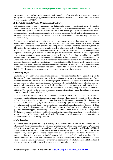#### **Ratnasari et al (2020): Employee performance September 2020 Vol. 23 Issue13A**

an organization, in accordance with the authority and responsibility of each, in order to achieve the objectives of the organization concerned legally, not violating the law, and in accordance with the moral and ethical, Barasan, Gunawan, and Sumali (2018).

## **II. LITERATURE REVIEW Organizational Culture**

Organizational culture as a set of values and norms that control members of an organization interact with others and with suppliers, consumers, and others outside the organization. The organizational culture consists of the final state that the organization seeks to achieve and the model encourages organizational behavior. Ideally, instrumental value helps the organization achieve its terminal objectives. Actually, different organizations have different cultures because they process different terminal and instrumental value settings, Fajrin, Saragih, and Indratjahjo (2018).

Organizational culture is a form of beliefs, values, ways you can learn to cope and live within an organization, the organizational culture tends to be realized by the members of the organization. Robbins, (2016) explains that the organizational culture is a system of values held and performed by members of the organization, thus it can differentiate the organization with other organizations. The value system built by 7 characteristics as the essence of the culture of the organization, seven characteristics is: (1) Innovation and risk taking. The degree to which employees are encouraged to innovate and take risks. (2) Detailed attention. The degree to which employees are expected to demonstrate accuracy, analysis and attention to details. (3) Orientation results. The degree to which management focuses on results rather than on the techniques and processes used to achieve the results. (3) Orientation in humans. The degree to which management decisions take into account the effect of the results -the results of those members of the organization. (4) Orientation team. The degree to which work activities are organized around teams - teams, rather than individuals - individuals. (5) Aggressiveness. The degree to which members of an organization that has an aggressive and competitive nature rather than relaxed - relaxed. (6) Stability. The degree to which organizational activities emphasize growth in status quo.

#### **Leadership Style**

Leadership is a process by which one individual motivate or influence others to achieve organization goals. It is the process of enhancing and encouraging the self-esteem of employees to achieve organizational task and goals. Effective leaders have a desired to achieve challenging goals and to attain the highest levelsuccessfully. Leaders have an ambition to always go ahead. Leaders are more energetic and full of life than non-leaders. They have physical and mental strength that make them to lead others.Leaders have high consistency and tenacity than nonleaders. It means leaders are consistent and full of determination in accomplishing task. Effective leaders take initiatives. They have the ability to make decision and take corrective actions without the guidance of others, i.e. empowered people, Javaid and Mirza (2012).

Good leadership and effective will be able to influence a person to feel satisfaction in work. Leadership has a positive and significant impact on job satisfaction and performance that is research conducted by Runi, Ishak., et al. (2017).Jeremy, Melinde, and Ciller, (2012), said that the style of leadership, consisting of four dimensions of leadership styles, namely: (1) Style Authoritarian, the leadership style that does not require main ideas of subordinates and give priority to power, and prestige, so a leader has high confidence in the decision. (2) Style Caregivers, the style of leadership in which leaders pay attention to subordinates in career advancement, provide guidance, direction, support and well being, as well as the respect of subordinates who work in a timely manner. (3) On the task-oriented style, the style of leadership, where the leader of the subordinate, for discipline in terms of jobs or tasks. (4) Participatory style, which style of leadership in which leaders expect the suggestions and ideas of subordinates, before taking a decision.

#### **Job Satisfaction**

Job Satisfaction is adapted from Yang & Hwang (2014), namely: intrinsic and extrinsic satisfaction. The relationship between job satisfaction to performance, has been done with different results, such as; Whitman, et al. (2010) found satisfaction has a positive effect on performance. According to Griffin and Moorhead (2014), job satisfaction reflects the extent to which people find satisfaction or fulfilment in their work. Job satisfaction is a pleasant feeling resulting from someone perception that the job satisfies or allows for the fulfilment of the importance of the values from someone job (Wagner and Hollenbeck, 2010). Meanwhile, according to Darman and Hamzah (2017) job satisfaction is an attitude that reflects a person's positive and negative feelings towards work, colleagues, and work environment. Furthermore, it is defined that job satisfaction is an attitude that reflects a person's judgment about his work or his work experience in a certain period of time.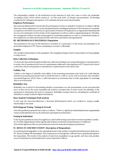#### **Ratnasari et al (2020): Employee performance September 2020 Vol. 23 Issue13A**

The independent variables of job satisfaction are the elements of work that cause or affect job satisfaction according to (Ukil, 2016), which consists of: (1) The work itself (2) Wages and promotions (3) Working conditions (4) Colleagues and superiors (5) Conformity between work and personality.

#### **Employee Performance**

Davoudi and Allahyari (2013) states that the performance involves an attitude of workers in accordance with the objectives of the organization. It can be interpreted that the resulting performance of the functions of a particular occupation or the result of an activity in a given period. Existence of employees in an organization determines the success and continuation of all activities of the organization in order to achieve organizational goals. Therefore, the management needs to provide strong support in motivating employees to work in a professional manner so that employees can achieve performance in line with their expectations and organizations.

#### **III. METHODOLOGY/MATERIALS Population**

The population is the total of the elements or members of a study place. In this study, the population is all permanent employees of PT. Epson, amounting to as many as 108 people

#### **Samples**

The sample is representative of the population. The sampling technique which is representative of the population is using cencus.

#### **Data Collection Techniques**

To obtain the data and information needed, data collection techniques are used questionnaires or questionnaire is to make a list of questions in the form of a questionnaire addressed to the employees of PT. Epson in the form of a check list, where each question or statement has 5 options based on the Likert scale.

#### **Validity Test**

Validity is the degree of reliability and validity of the measuring instruments used. Said to be valid when the instrument measuring instrument used to obtain the data is valid or can be used to measure what should be measured (Sugiyono, 2014). Thus, a valid instrument is an instrument that is really appropriate for measuring what is to be measured.

#### **Reliability Test**

Reliability test is useful for determining whether an instrument is in this questionnaire can be used more than once, at least not by the same respondent will produce consistent data. In other words, the reliability of the instrument to characterize the level of consistency. Reliability testing is done by calculating the coefficient of reliability by using Cronbach's Alpha formulations.

#### **Data Analysis Techniques Path analysis**

In this step the researcher illustrates a flowchart (PathAnalysis) which can facilitate in seeing causality relationships to be tested.

#### **Path Diagram Testing Testing In Overall**

Overall hypothesis proposed in this study is as follows: "There is a significant relationship between organizational culture and leadership style on job satisfaction and employee performance".

#### **Testing In Individual**

If the major hypothesis in research is significant, then further testing can be done for minor hypothesis, namely: (1) Variable organizational culture significantly influence motivation and performance of employees

(2)Variable significant effect on job satisfaction and work motivation employee performance

#### **IV. RESULTS AND DISCUSSION Description of Respondents**

In analysing the demographics of the respondents based on the number of samples that had been previously set at. PT. Epson totalling 108 respondents. This analysis process through data collected from a questionnaire given to the respondents. The results of the analysis of data from respondents on age, gender, and class rank, position, years of education last, and marital status can be expressed as follows: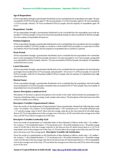## **Age of Respondents**

Of the respondents through a questionnaire distributed can be concluded that the respondents were aged> 30 years amounted to 94 (87%) of people, aged 31-40 year amounted to 13 (12%) of people, aged 41-50 year amounted to 1 (1%) of people, whereas> 50 Years numbered 0 (0%) of people, thus the majority of respondents aged <30 years.

## **Respondents' Gender**

Of the respondents through a questionnaire distributed can be concluded that the respondents were male sex totalled 17 (16%) of people, it is much less than the respondents female sex that is numbered 91 (84%) of people, thus the majority of respondents Woman sex.

## **Position Employee**

Of the respondents through a questionnaire distributed can be concluded that the respondents who have positions as operators totalled 57 (53%) of people, as a leader or a clerk totaled7 (6%) of people, as a supervisor or officer amounted to 44 (41%) of people, thus the majority of respondents have a position as operator.

## **Work Period**

Of the respondents through a questionnaire distributed can be concluded that the respondents who worked less than 5 years amounted to 92 (85%) of people, between 6-10 years amounted to 12 (11%) of people, among 1620 year amounted to 4 (4%) of people, whereas > 20 years amounted to 0 (0%) of people, the majority of respondents worked less than 5 years.

## **Latest Education**

Of the respondents through a questionnaire distributed can be concluded that the respondents who had education past high school numbered 61 (57%) of people, educational D1 / D3 total of 11 (10%) of people, S1 total of 36 (33%) of people, while the S2 education totalled 0 (0%) of people, thus the majority of respondents had a high school education.

#### **Marital Status**

Of the respondents through a questionnaire distributed can be concluded that the respondents who had married status amounted to 25 (23%) of people, unmarried status accounted for 83 (77%) of people.Thus, the majority of respondents have not yet married status.

#### **Answer Description a moderate level**

Description of the data is a general description of the results of the study which includes the presentation of a frequency distribution table, on average, mode, median and variance. The description of the data from each of the research variables are as follows:

#### **Descriptive Variables Organizational Culture**

From the results of the deployment of Organizational Culture questionnaire obtained the following data; mode value  $= 43$ ; median  $= 45$ ; variance  $= 8.24$ ; standard deviation  $= 2.87$ ; maximum score  $= 50$  and the minimum score  $=$  37 and the average value of 44.67; this is that the average value lies in the class interval 45-46 which means there is 28.7% of respondents were in the average score of the class, 42.6% were below the average score of the class, and 28.7% are above average score of the class.

## **Descriptive Variables Leadership Style**

From the results of questionnaire on Leadership Styles of data obtained as follows; mode value  $= 42$ ; median  $=$  $43$ ; variance  $= 7.63$ ; standard deviation  $= 2.76$ ; maximum score  $= 49$  and the minimum score  $= 38$  and the average value of 42.89; this is that the average value lies in the interval class 42 which means there is at 16.7% of respondents were in the average score of the class, 31.3% were below the average score of the class and 52% were above the mean score The average grade. **Descriptive Variable Job Satisfaction** 

From the results of a questionnaire on Job Satisfaction of data obtained as follows; mode value = 42; median =  $44$ ; variance  $= 7.40$ ; standard deviation  $= 2.72$ ; maximum score  $= 49$  and the minimum score  $= 38$  and the average value of 43.84; this is that the average value lies in the interval class 43 which means there is 11.0% of respondents were in the average score of the class, 37% are below the average score of the class and 52% is above the average score of the class.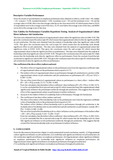## **Descriptive Variable Performance**

From the results of questionnaires on employee performance data obtained as follows; mode value = 40; median  $= 43$ ; variance  $= 9.38$ ; standard deviation  $= 3.06$ ; maximum score  $= 50$  and the minimum score  $= 36$  and the average value of 43.06; this is that the average value lies in the class interval 42-43 which means there is 24.1% of respondents were in the average score of the class, 35.1% were below the average score of the class, and 40.8% are in above the average score of the class.

## **Test Validity for Performance Variables Hypothesis Testing Analysis of Organizational Culture Direct Influence Job Satisfaction**

The data were obtained from the analysis of organizational culture where the significant value is  $0.000 < 0.05$ . This gives the conclusion reject Ho and accepts H1 which means that organizational culture is directly significant effect on job satisfaction. The data were obtained from the analysis of leadership styles that significant value is 0.00 <0.05. This gives the conclusion reject Ho and accepts H1 which means that the leadership style directly significant effect on job satisfaction. The data were obtained from the analysis of organizational culture that significant value is 0.029 < 0.05. This gives the conclusion reject Ho and accepts H1 which means that organizational culture is directly significant effect on performance. The data were obtained from the analysis of leadership styles that significant value is  $0.038 \le 0.05$ . This gives the conclusion reject Ho and accepts H1 which means that the leadership style directly significant effect on performance. From the analysis found that job satisfaction is significant value  $0.000 < 0.05$ . This gives the conclusion reject Ho and accepts H1 which means that job satisfaction is directly significant effect on performance.

## **The coefficient of the direct effect, indirect and total:**

- 1. The direct effect of organizational culture on the performance seen from the regression coefficient value of organizational culture on the performance that is equal to 0.172.
- 2. The indirect effect of organizational culture on performance through job satisfaction is a product of the organizational culture on job satisfaction and job satisfactions on performance (P1 x P5) are: 0.512 x  $0.580 = 0.296$ .
- 3. The net effect (total effect) of organizational culture on performance is a direct effect + indirect effect  $(P1 + (P1 \times P5))$ , namely:  $0.172 + 0.296 = 0.468$ . From the calculation, that the indirect effect coefficient> direct influence (P1 x P5>P3) i.e. 0.296> 0.172, it can be concluded that Ho is rejected and accept H1 which means that bona fide organizational culture significantly influence the performance indirectly through job satisfaction. This suggests that the actual effect of the organizational culture on performance is indirect influence.
- 4. Analysis of the Indirect Effects of Leadership Style on Performance Through Job Satisfaction
- 5. The coefficient of the direct effect, indirect and total:

The direct effect (direct effect) leadership style on the performance seen from the regression coefficient value of leadership style on the performance that is equal to 0.161.

The indirect effect (indirect effect) leadership style to performance through job satisfaction is the multiplication of leadership style on job satisfaction and job satisfaction on performance, namely: (P2 x  $P5 = 0.494 \times 0.580 = 0.286$ .

The net effect (total effect) leadership style is a direct influence on the performance of the indirect effect  $+ (P2 + (P2 \times P5))$ , namely:  $0.161 + 0.286 = 0.447$ .

From the calculation, that the indirect effect coefficient> direct influence (P2 x P5>P3) i.e. 0.286>0.161, it can be concluded that Ho is rejected and accept H1 which means that the leadership style of a bona fide significant influence on the performance indirectly through job satisfaction. This suggests that the actual effect between leadership styles on performance is indirect influence.

## **V. CONCLUSION**

From the discussion in the previous chapter, it can be summarized several conclusions, namely: (1) Organizational culture significant influence on job satisfaction. (2) Leadership style significant influence on job satisfaction. (3) Job satisfaction significant influence on employee performance. (4) Organizational culture significant influence on employee performance. (5) Leadership style significant influence on employee performance. (6) Organizational culture significant influence on employee performance through job satisfaction. (7) Leadership style significant influence on employee performance through job satisfaction.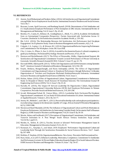#### **VI. REFERENCES**

- [1] Azeem, Syed Muhammad and Nadeem Akbar. (2014). Job Satisfaction and Organizational Commitment among Public Sector Employees in Saudi Arabia. International Journal of Business and Social Sciences. Vol.5.No.7.
- [2] Barasan, Larsen, April Gunawan, and Bambang Sumali. (2018). Determinants of Job Satisfaction and it's Implicationon Employee Performance of Port Enterprises in DKI Jakarta. International Review of Management and Marketing. Vol. 8. Issue 5. Pp. 43-49.
- [3] Bentley, P.J., Coates, H., Dobson, I.R., Goedegebuure, L., Meek, V.L. (2013), Academic Job Satisfaction from an International Comparative Perspective: Factors Associated with Satisfaction Across 12 Countries. Dordrecht: In Job Satisfaction around the Academic World. p. 239-262.
- [4] Bin S.A.S. (2016), The Relationship Between Job Satisfaction, Job Performance And Em ployee Engagement: An Explorative Study. Issues in Business Management and Economics, 4(1), 1-8.
- [5] Colquitt, J. A., Lepine, J. A., & Wesson, M. J. (2014). Organizational Behavior Improving Performance and Commitment in The Workplace. Irwin: Mc Graw Hill.
- [6] Chu, J., Leino, A., Pflum, S., Sue, S. (2016), A model for the theoretical basis of cultural competency to guide psychotherapy. Professional Psychology: Research and Practice, 47(1), 18-29.
- [7] Darman and DjabirHamzah. (2017). The Effect of Personality, Ability, Organizational Support, Job Satisfaction and Organizational Commitment Towards Lecturer Performance of Private University in Gorontalo. Scientific Research Journal (SCIRJ). Volume V, Issue VI. pp. 61-70.
- [8] Davoudi SMM, Allahsyari M. (2013). "EffectJob Organization and Job Performance among Operation Staff". American Journal of Industrial and Bussiness Management. 3(1):136-139.
- [9] Fatjrin, Desliana, BongsuSaragih, and Harry Indratjahjo. (2018). The Effect of Organizational Commitment and Organizational Culture to Employee Performance through Behaviour Civilization Organizations of Teachers and Employees Madrasah IbtidaiyaNurussyifa Indonesia. International Journal of Business and Applied Social Science (IJBASS). Vol.4. Issue 3.
- [10] Hakim, Adnan. (2015). Effect of Organizational Culture, Organizational Commitment to Performance: Study In Hospital of District South Konawe Of Southeast Sulawesi. The International Journal Of Engineering And Science (IJES). Vol. 4. Issue 5. Pp.33-41.
- [11] Harwiki, W. (2016), The Impact Of Servant Leadership On Organization Culture, Organizational Commitment, Organizational Citizenship Behavior (OCB) And Employee Performance In Women Cooperatives. Procedia-Social and Behavioral Sciences, 219, 283-290.
- [12] Javaid, Muhammad Fahad, M. Usman Mirza. (2012). Leadership Style EnchancesThe Employee Organizational Commitment: A Case Study Of Educational Institutions In Lahore. International Journal of Applied Research. Volume 1, 2012. Pp. 64-77.
- [13] Jeremy M., MelindeC. and Ciller V., (2012). Perceived leadership style and employee participation in a manufacturing company in the democratic republic of Congo, African Journal Of Business Management, 6(15), 5389-5398.
- [14] Mariati and Hanif Mauludin. (2018). The Influence of Organizational Culture and Work Motivation on Employee Performance, Job Satisfaction As Intervening Variable (Study On Secretariat Staff of Pasuruan Regency). IOSR Journal of Business and Management. Vol.20. Issue 8. Pp.30-39.
- [15] Martin, Adam, and GertRoodt. (2017). Perceptions of Organizational Commitment, Job Satisfaction, and Turnover Intensions In A Post Merger South African Tertiary Institution. Sajip journal. Vol.34.No.1.pp23-31.
- [16] Mather, K., Seifert, R. (2011), Teacher, lecturer or labourer? Performance Management Issues In Education. Management in Education Journal, 25 (1), 26-31.
- [17] Ratnasari, S L., Sutjahjo, G., and Adam. 2019. Employees' Performance: Organizational Culture and Leadership Style Through Job Satisfaction. Humanities & Social Sciences Reviews. Vol.7. Issue5. Pp.597-608.
- [18] Robbins, P. Stephen. (2016). OrganizatioanalBehavior. New Jersey: Precentice Hall International Inc.
- [19] Runi, Ishak., et al. (2017). Influence Leadership, Motivation, Competence, Commitment To Satisfaction And Performance Lecturer At Private Higher Education Kopertis Region IX in South Sulawesi Province. IOSR Journal of Business and Managemen. Volume 19, Issue 7. Pp. 56-67.